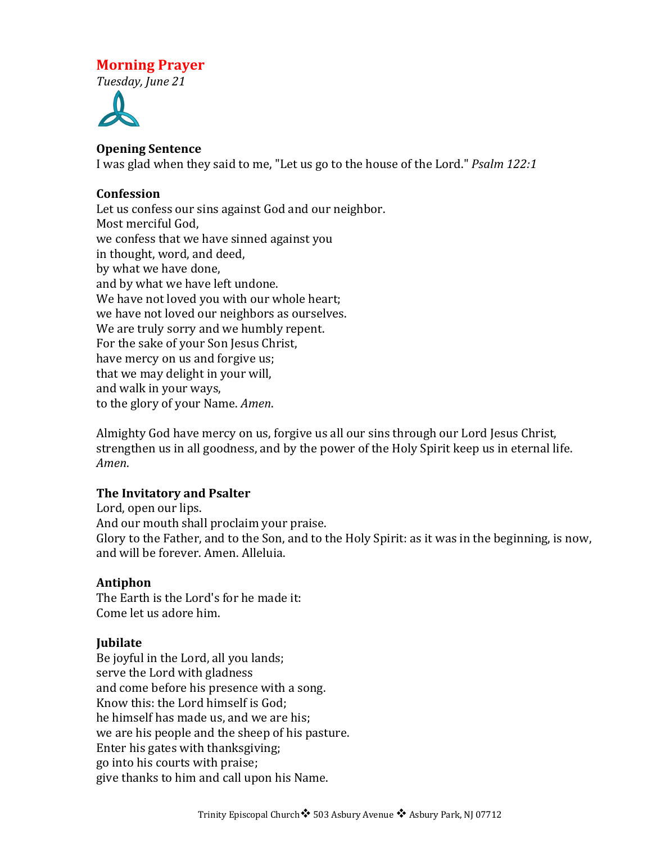# **Morning Prayer**

*Tuesday, June 21*



# **Opening Sentence**

I was glad when they said to me, "Let us go to the house of the Lord." *Psalm* 122:1

# **Confession**

Let us confess our sins against God and our neighbor. Most merciful God. we confess that we have sinned against you in thought, word, and deed, by what we have done, and by what we have left undone. We have not loved you with our whole heart; we have not loved our neighbors as ourselves. We are truly sorry and we humbly repent. For the sake of your Son Jesus Christ, have mercy on us and forgive us; that we may delight in your will, and walk in your ways, to the glory of your Name. *Amen*.

Almighty God have mercy on us, forgive us all our sins through our Lord Jesus Christ, strengthen us in all goodness, and by the power of the Holy Spirit keep us in eternal life. *Amen*.

#### **The Invitatory and Psalter**

Lord, open our lips. And our mouth shall proclaim your praise. Glory to the Father, and to the Son, and to the Holy Spirit: as it was in the beginning, is now, and will be forever. Amen. Alleluia.

#### **Antiphon**

The Earth is the Lord's for he made it: Come let us adore him.

#### **Jubilate**

Be joyful in the Lord, all you lands; serve the Lord with gladness and come before his presence with a song. Know this: the Lord himself is God; he himself has made us, and we are his; we are his people and the sheep of his pasture. Enter his gates with thanksgiving; go into his courts with praise; give thanks to him and call upon his Name.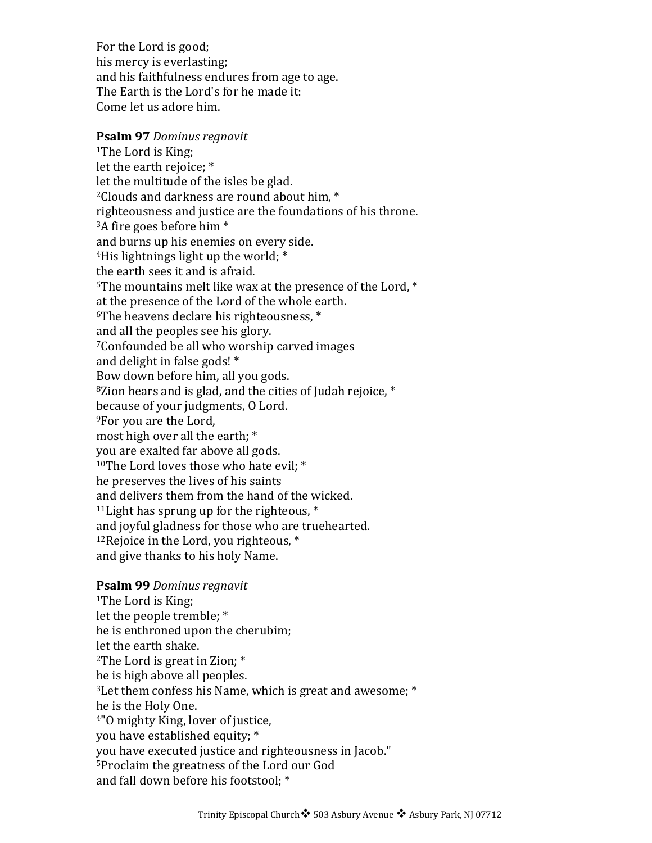For the Lord is good; his mercy is everlasting; and his faithfulness endures from age to age. The Earth is the Lord's for he made it: Come let us adore him.

**Psalm 97** *Dominus regnavit* <sup>1</sup>The Lord is King; let the earth rejoice;  $*$ let the multitude of the isles be glad. <sup>2</sup>Clouds and darkness are round about him, \* righteousness and justice are the foundations of his throne.  $3A$  fire goes before him  $*$ and burns up his enemies on every side. <sup>4</sup>His lightnings light up the world;  $*$ the earth sees it and is afraid. 5The mountains melt like wax at the presence of the Lord,  $*$ at the presence of the Lord of the whole earth.  $6$ The heavens declare his righteousness,  $*$ and all the peoples see his glory. <sup>7</sup>Confounded be all who worship carved images and delight in false gods!  $*$ Bow down before him, all you gods.  $8$ Zion hears and is glad, and the cities of Judah reioice.  $*$ because of your judgments, 0 Lord. <sup>9</sup>For you are the Lord, most high over all the earth;  $*$ you are exalted far above all gods. <sup>10</sup>The Lord loves those who hate evil:  $*$ he preserves the lives of his saints and delivers them from the hand of the wicked. <sup>11</sup> Light has sprung up for the righteous,  $*$ and joyful gladness for those who are truehearted. <sup>12</sup>Rejoice in the Lord, you righteous,  $*$ and give thanks to his holy Name.

**Psalm 99** *Dominus regnavit* <sup>1</sup>The Lord is King; let the people tremble;  $*$ he is enthroned upon the cherubim; let the earth shake. <sup>2</sup>The Lord is great in Zion;  $*$ he is high above all peoples.  $3$ Let them confess his Name, which is great and awesome;  $*$ he is the Holy One. <sup>4"</sup>O mighty King, lover of justice, you have established equity; \* you have executed justice and righteousness in Jacob." <sup>5</sup>Proclaim the greatness of the Lord our God and fall down before his footstool; \*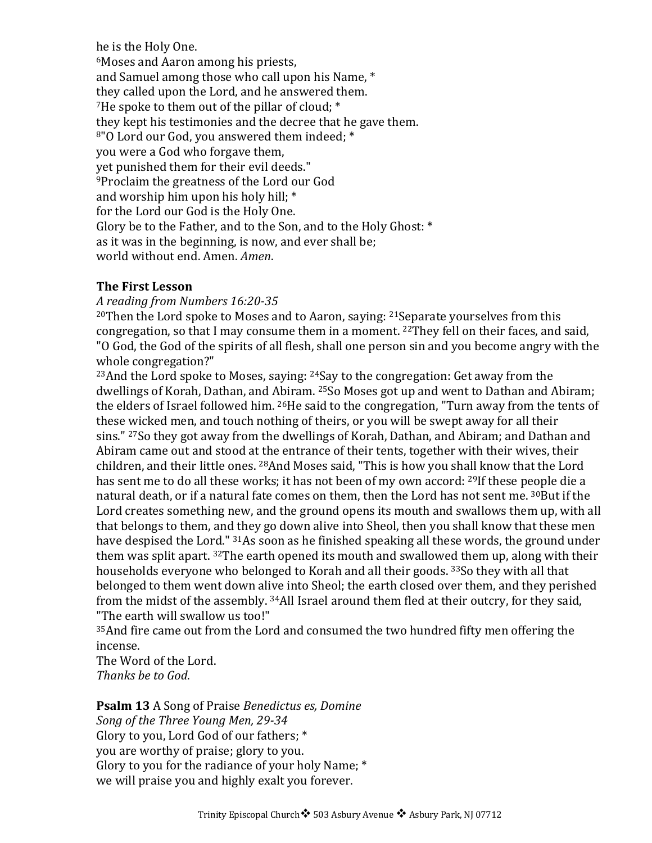he is the Holy One.

<sup>6</sup>Moses and Aaron among his priests, and Samuel among those who call upon his Name, \* they called upon the Lord, and he answered them. <sup>7</sup>He spoke to them out of the pillar of cloud:  $*$ they kept his testimonies and the decree that he gave them. <sup>8"</sup>O Lord our God, you answered them indeed; \* you were a God who forgave them, yet punished them for their evil deeds." <sup>9</sup>Proclaim the greatness of the Lord our God and worship him upon his holy hill;  $*$ for the Lord our God is the Holy One. Glory be to the Father, and to the Son, and to the Holy Ghost: \* as it was in the beginning, is now, and ever shall be; world without end. Amen. Amen.

# **The First Lesson**

*A reading from Numbers 16:20-35*

 $20$ Then the Lord spoke to Moses and to Aaron, saying:  $21$ Separate yourselves from this congregation, so that I may consume them in a moment. <sup>22</sup>They fell on their faces, and said, "O God, the God of the spirits of all flesh, shall one person sin and you become angry with the whole congregation?"

 $23$ And the Lord spoke to Moses, saying:  $24$ Say to the congregation: Get away from the dwellings of Korah, Dathan, and Abiram. <sup>25</sup>So Moses got up and went to Dathan and Abiram; the elders of Israel followed him. <sup>26</sup>He said to the congregation, "Turn away from the tents of these wicked men, and touch nothing of theirs, or you will be swept away for all their sins." <sup>27</sup>So they got away from the dwellings of Korah, Dathan, and Abiram; and Dathan and Abiram came out and stood at the entrance of their tents, together with their wives, their children, and their little ones. <sup>28</sup>And Moses said, "This is how you shall know that the Lord has sent me to do all these works; it has not been of my own accord: <sup>29</sup>If these people die a natural death, or if a natural fate comes on them, then the Lord has not sent me. <sup>30</sup>But if the Lord creates something new, and the ground opens its mouth and swallows them up, with all that belongs to them, and they go down alive into Sheol, then you shall know that these men have despised the Lord."  $31As$  soon as he finished speaking all these words, the ground under them was split apart. <sup>32</sup>The earth opened its mouth and swallowed them up, along with their households everyone who belonged to Korah and all their goods.  $33$ So they with all that belonged to them went down alive into Sheol; the earth closed over them, and they perished from the midst of the assembly. <sup>34</sup>All Israel around them fled at their outcry, for they said, "The earth will swallow us too!"

35And fire came out from the Lord and consumed the two hundred fifty men offering the incense.

The Word of the Lord. *Thanks be to God*.

**Psalm 13** A Song of Praise *Benedictus es, Domine* Song of the Three Young Men, 29-34 Glory to you, Lord God of our fathers; \* you are worthy of praise; glory to you. Glory to you for the radiance of your holy Name;  $*$ we will praise you and highly exalt you forever.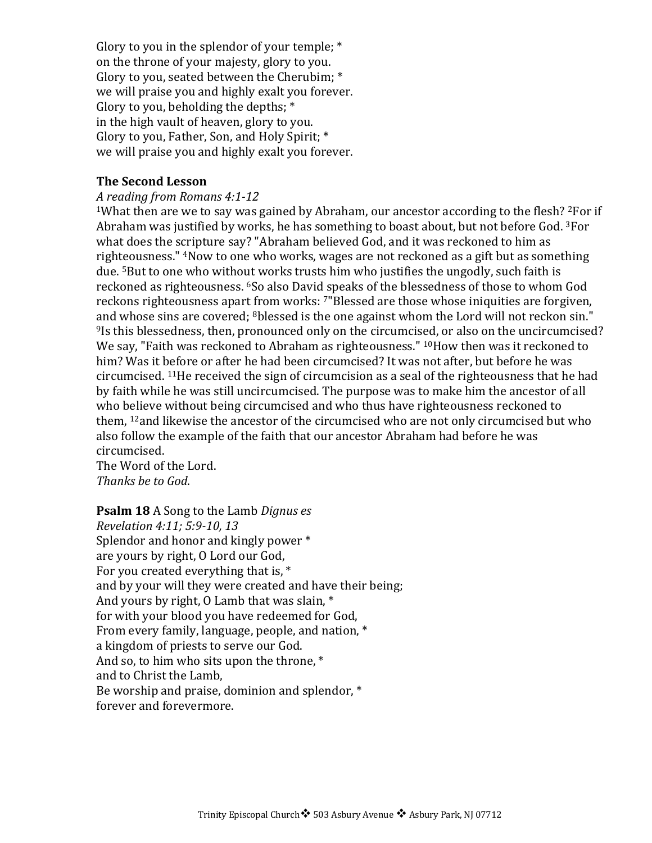Glory to you in the splendor of your temple;  $*$ on the throne of your majesty, glory to you. Glory to you, seated between the Cherubim; \* we will praise you and highly exalt you forever. Glory to you, beholding the depths:  $*$ in the high vault of heaven, glory to you. Glory to you, Father, Son, and Holy Spirit; \* we will praise you and highly exalt you forever.

# **The Second Lesson**

#### *A reading from Romans 4:1-12*

<sup>1</sup>What then are we to say was gained by Abraham, our ancestor according to the flesh? <sup>2</sup>For if Abraham was justified by works, he has something to boast about, but not before God. <sup>3</sup>For what does the scripture say? "Abraham believed God, and it was reckoned to him as righteousness." <sup>4</sup>Now to one who works, wages are not reckoned as a gift but as something due. <sup>5</sup>But to one who without works trusts him who justifies the ungodly, such faith is reckoned as righteousness. <sup>6</sup>So also David speaks of the blessedness of those to whom God reckons righteousness apart from works: <sup>7"</sup>Blessed are those whose iniquities are forgiven, and whose sins are covered; <sup>8</sup>blessed is the one against whom the Lord will not reckon sin." <sup>9</sup>Is this blessedness, then, pronounced only on the circumcised, or also on the uncircumcised? We say, "Faith was reckoned to Abraham as righteousness." <sup>10</sup>How then was it reckoned to him? Was it before or after he had been circumcised? It was not after, but before he was circumcised.  $11$ He received the sign of circumcision as a seal of the righteousness that he had by faith while he was still uncircumcised. The purpose was to make him the ancestor of all who believe without being circumcised and who thus have righteousness reckoned to them,  $12$  and likewise the ancestor of the circumcised who are not only circumcised but who also follow the example of the faith that our ancestor Abraham had before he was circumcised.

The Word of the Lord. *Thanks be to God*.

**Psalm 18** A Song to the Lamb *Dignus es Revelation 4:11; 5:9-10, 13* Splendor and honor and kingly power  $*$ are yours by right, O Lord our God, For you created everything that is,  $*$ and by your will they were created and have their being; And yours by right,  $0$  Lamb that was slain,  $*$ for with your blood you have redeemed for God, From every family, language, people, and nation,  $*$ a kingdom of priests to serve our God. And so, to him who sits upon the throne,  $*$ and to Christ the Lamb. Be worship and praise, dominion and splendor,  $*$ forever and forevermore.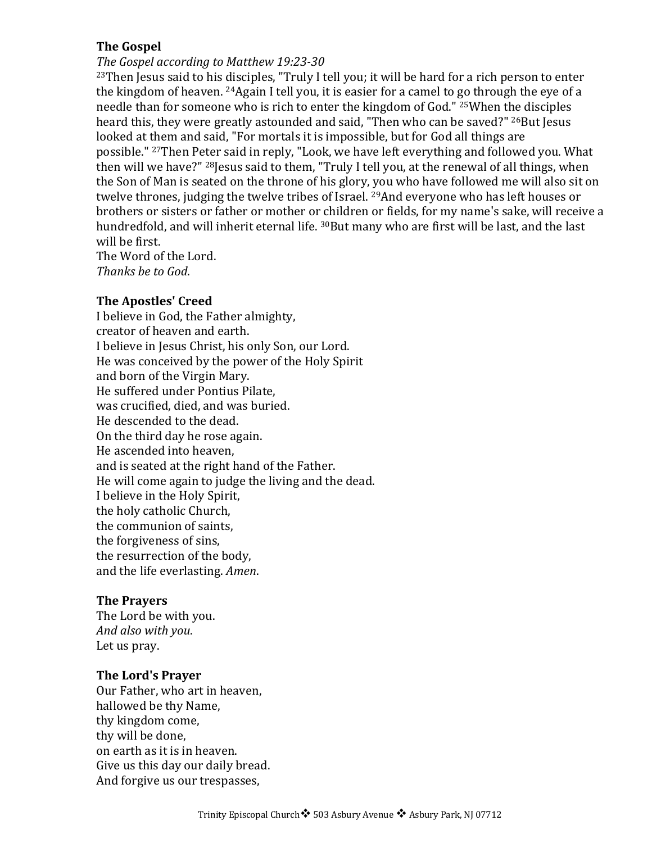# **The Gospel**

The Gospel according to Matthew 19:23-30

 $23$ Then Jesus said to his disciples, "Truly I tell you; it will be hard for a rich person to enter the kingdom of heaven.  $24$ Again I tell you, it is easier for a camel to go through the eye of a needle than for someone who is rich to enter the kingdom of God." <sup>25</sup>When the disciples heard this, they were greatly astounded and said, "Then who can be saved?" <sup>26</sup>But Jesus looked at them and said, "For mortals it is impossible, but for God all things are possible." <sup>27</sup>Then Peter said in reply, "Look, we have left everything and followed you. What then will we have?" <sup>28</sup> lesus said to them, "Truly I tell you, at the renewal of all things, when the Son of Man is seated on the throne of his glory, you who have followed me will also sit on twelve thrones, judging the twelve tribes of Israel. <sup>29</sup>And everyone who has left houses or brothers or sisters or father or mother or children or fields, for my name's sake, will receive a hundredfold, and will inherit eternal life. <sup>30</sup>But many who are first will be last, and the last will be first.

The Word of the Lord. *Thanks be to God*.

# **The Apostles' Creed**

I believe in God, the Father almighty, creator of heaven and earth. I believe in Jesus Christ, his only Son, our Lord. He was conceived by the power of the Holy Spirit and born of the Virgin Mary. He suffered under Pontius Pilate, was crucified, died, and was buried. He descended to the dead. On the third day he rose again. He ascended into heaven, and is seated at the right hand of the Father. He will come again to judge the living and the dead. I believe in the Holy Spirit, the holy catholic Church. the communion of saints, the forgiveness of sins, the resurrection of the body, and the life everlasting. *Amen*.

#### **The Prayers**

The Lord be with you. *And also with you*. Let us pray.

# **The Lord's Prayer**

Our Father, who art in heaven, hallowed be thy Name, thy kingdom come, thy will be done, on earth as it is in heaven. Give us this day our daily bread. And forgive us our trespasses,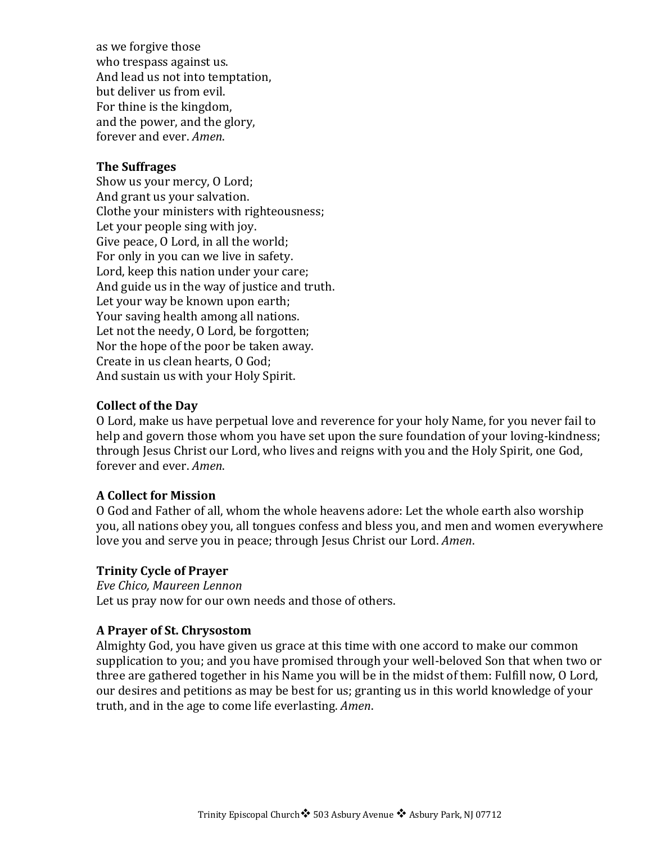as we forgive those who trespass against us. And lead us not into temptation, but deliver us from evil. For thine is the kingdom, and the power, and the glory, forever and ever. *Amen*.

# **The Suffrages**

Show us your mercy, O Lord; And grant us your salvation. Clothe your ministers with righteousness; Let your people sing with joy. Give peace, O Lord, in all the world: For only in you can we live in safety. Lord, keep this nation under your care; And guide us in the way of justice and truth. Let your way be known upon earth; Your saving health among all nations. Let not the needy, O Lord, be forgotten; Nor the hope of the poor be taken away. Create in us clean hearts, O God; And sustain us with your Holy Spirit.

# **Collect of the Day**

O Lord, make us have perpetual love and reverence for your holy Name, for you never fail to help and govern those whom you have set upon the sure foundation of your loving-kindness; through Jesus Christ our Lord, who lives and reigns with you and the Holy Spirit, one God, forever and ever. *Amen*.

# **A Collect for Mission**

O God and Father of all, whom the whole heavens adore: Let the whole earth also worship you, all nations obey you, all tongues confess and bless you, and men and women everywhere love you and serve you in peace; through Jesus Christ our Lord. *Amen*.

#### **Trinity Cycle of Prayer**

*Eve Chico, Maureen Lennon* Let us pray now for our own needs and those of others.

#### **A Prayer of St. Chrysostom**

Almighty God, you have given us grace at this time with one accord to make our common supplication to you; and you have promised through your well-beloved Son that when two or three are gathered together in his Name you will be in the midst of them: Fulfill now, O Lord, our desires and petitions as may be best for us; granting us in this world knowledge of your truth, and in the age to come life everlasting. *Amen*.